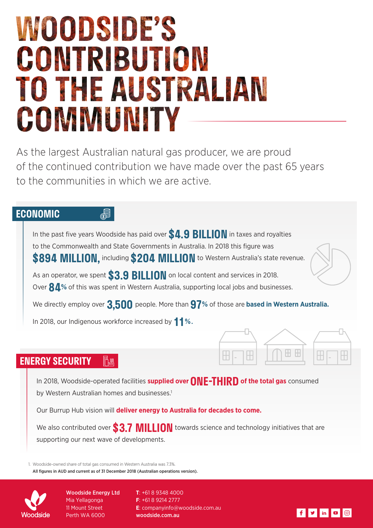# **MOODSIDE'S** CONTRIBUTION TO THE AUSTRALIAN COMMUNITY

As the largest Australian natural gas producer, we are proud of the continued contribution we have made over the past 65 years to the communities in which we are active.

## **ECONOMIC**

In the past five years Woodside has paid over **\$4.9 BILLION** in taxes and royalties to the Commonwealth and State Governments in Australia. In 2018 this figure was **\$894 MILLION,** including **\$204 MILLION** to Western Australia's state revenue.

As an operator, we spent **\$3.9 BILLION** on local content and services in 2018. Over **84**% of this was spent in Western Australia, supporting local jobs and businesses.

We directly employ over **3,500** people. More than **97%** of those are **based in Western Australia.**

In 2018, our Indigenous workforce increased by **11%.**

 $\mathbb{S}$ 

#### **ENERGY SECURITY** 冊購

In 2018, Woodside-operated facilities **supplied over ONE-THIRD of the total gas** consumed by Western Australian homes and businesses.<sup>1</sup>

H

Our Burrup Hub vision will **deliver energy to Australia for decades to come.**

We also contributed over **\$3.7 MILLION** towards science and technology initiatives that are supporting our next wave of developments.

1. Woodside-owned share of total gas consumed in Western Australia was 7.3%. All figures in AUD and current as of 31 December 2018 (Australian operations version).



Woodside Energy Ltd Mia Yellagonga 11 Mount Street Perth WA 6000

**T**: +61 8 9348 4000 **F**: +61 8 9214 2777 **E**: companyinfo@woodside.com.au woodside.com.au



H